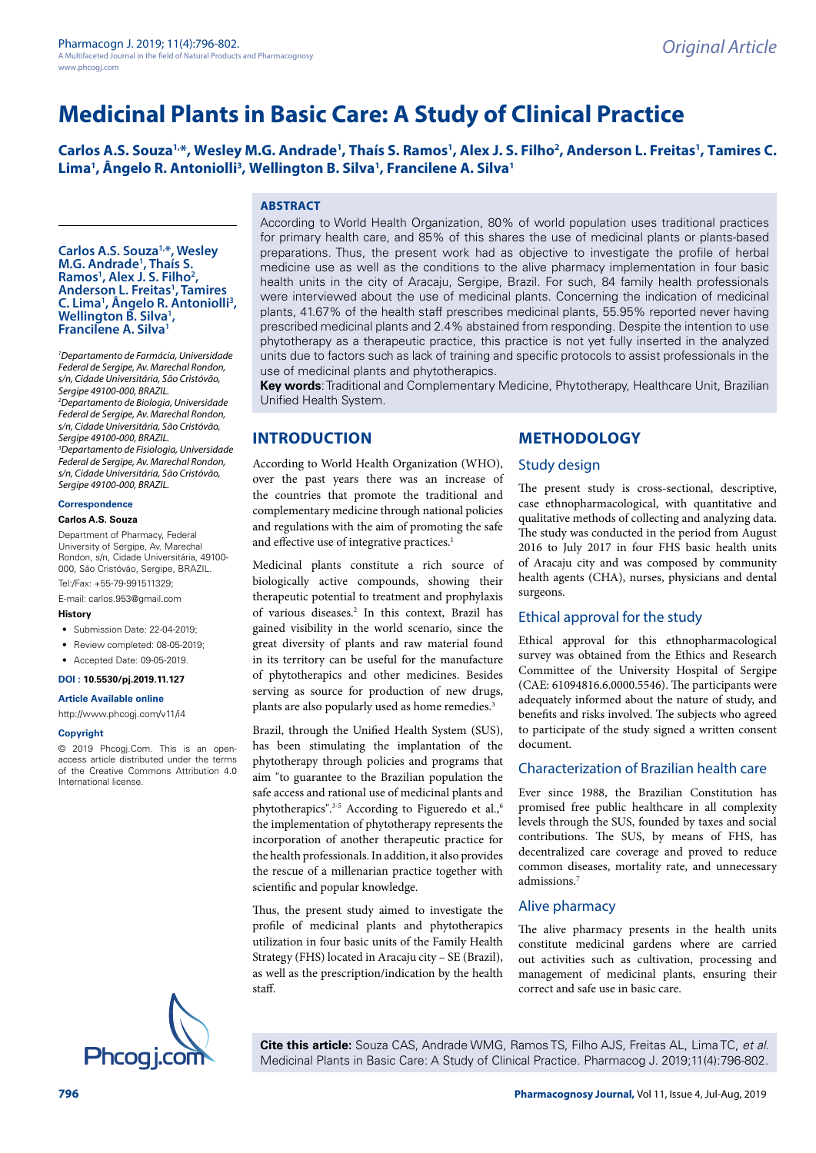# **Medicinal Plants in Basic Care: A Study of Clinical Practice**

Carlos A.S. Souza<sup>1,\*</sup>, Wesley M.G. Andrade<sup>1</sup>, Thaís S. Ramos<sup>1</sup>, Alex J. S. Filho<sup>2</sup>, Anderson L. Freitas<sup>1</sup>, Tamires C. Lima<sup>1</sup>, Ângelo R. Antoniolli<sup>3</sup>, Wellington B. Silva<sup>1</sup>, Francilene A. Silva<sup>1</sup>

### **ABSTRACT**

**Carlos A.S. Souza1,\*, Wesley M.G. Andrade1 , Thaís S. Ramos1 , Alex J. S. Filho2** Ramos<sup>1</sup>, Alex J. S. Filho<sup>2</sup>,<br>Anderson L. Freitas<sup>1</sup>, Tamires C. Lima<sup>1</sup>, Ângelo R. Antoniolli<sup>3</sup>,<br>Wellington B. Silva<sup>1</sup>, **Wellington B. Silva<sup>1</sup>,<br>Francilene A. Silva<sup>1</sup>** 

*1 Departamento de Farmácia, Universidade Federal de Sergipe, Av. Marechal Rondon, s/n, Cidade Universitária, São Cristóvão, Sergipe 49100-000, BRAZIL. 2 Departamento de Biologia, Universidade Federal de Sergipe, Av. Marechal Rondon, s/n, Cidade Universitária, São Cristóvão, Sergipe 49100-000, BRAZIL. 3 Departamento de Fisiologia, Universidade Federal de Sergipe, Av. Marechal Rondon, s/n, Cidade Universitária, São Cristóvão, Sergipe 49100-000, BRAZIL.*

### **Correspondence**

### **Carlos A.S. Souza**

Department of Pharmacy, Federal University of Sergipe, Av. Marechal Rondon, s/n, Cidade Universitária, 49100- 000, São Cristóvão, Sergipe, BRAZIL. Tel:/Fax: +55-79-991511329;

E-mail: [carlos.953@gmail.com](mailto:carlos.953@gmail.com)

#### **History**

- Submission Date: 22-04-2019;
- Review completed: 08-05-2019;
- Accepted Date: 09-05-2019.

#### **DOI : 10.5530/pj.2019.11.127**

**Article Available online** 

#### [http://www.phcogj.com/v11/i](http://www.phcogj.com/v11/i3)4

#### **Copyright**

© 2019 Phcogj.Com. This is an openaccess article distributed under the terms of the Creative Commons Attribution 4.0 International license.



According to World Health Organization, 80% of world population uses traditional practices for primary health care, and 85% of this shares the use of medicinal plants or plants-based preparations. Thus, the present work had as objective to investigate the profile of herbal medicine use as well as the conditions to the alive pharmacy implementation in four basic health units in the city of Aracaju, Sergipe, Brazil. For such, 84 family health professionals were interviewed about the use of medicinal plants. Concerning the indication of medicinal plants, 41.67% of the health staff prescribes medicinal plants, 55.95% reported never having prescribed medicinal plants and 2.4% abstained from responding. Despite the intention to use phytotherapy as a therapeutic practice, this practice is not yet fully inserted in the analyzed units due to factors such as lack of training and specific protocols to assist professionals in the use of medicinal plants and phytotherapics.

**Key words**: Traditional and Complementary Medicine, Phytotherapy, Healthcare Unit, Brazilian Unified Health System.

### **INTRODUCTION**

According to World Health Organization (WHO), over the past years there was an increase of the countries that promote the traditional and complementary medicine through national policies and regulations with the aim of promoting the safe and effective use of integrative practices.<sup>1</sup>

Medicinal plants constitute a rich source of biologically active compounds, showing their therapeutic potential to treatment and prophylaxis of various diseases.<sup>2</sup> In this context, Brazil has gained visibility in the world scenario, since the great diversity of plants and raw material found in its territory can be useful for the manufacture of phytotherapics and other medicines. Besides serving as source for production of new drugs, plants are also popularly used as home remedies.<sup>3</sup>

Brazil, through the Unified Health System (SUS), has been stimulating the implantation of the phytotherapy through policies and programs that aim "to guarantee to the Brazilian population the safe access and rational use of medicinal plants and phytotherapics".<sup>3-5</sup> According to Figueredo et al.,<sup>6</sup> the implementation of phytotherapy represents the incorporation of another therapeutic practice for the health professionals. In addition, it also provides the rescue of a millenarian practice together with scientific and popular knowledge.

Thus, the present study aimed to investigate the profile of medicinal plants and phytotherapics utilization in four basic units of the Family Health Strategy (FHS) located in Aracaju city – SE (Brazil), as well as the prescription/indication by the health staff.

### **METHODOLOGY**

#### Study design

The present study is cross-sectional, descriptive, case ethnopharmacological, with quantitative and qualitative methods of collecting and analyzing data. The study was conducted in the period from August 2016 to July 2017 in four FHS basic health units of Aracaju city and was composed by community health agents (CHA), nurses, physicians and dental surgeons.

### Ethical approval for the study

Ethical approval for this ethnopharmacological survey was obtained from the Ethics and Research Committee of the University Hospital of Sergipe (CAE: 61094816.6.0000.5546). The participants were adequately informed about the nature of study, and benefits and risks involved. The subjects who agreed to participate of the study signed a written consent document.

### Characterization of Brazilian health care

Ever since 1988, the Brazilian Constitution has promised free public healthcare in all complexity levels through the SUS, founded by taxes and social contributions. The SUS, by means of FHS, has decentralized care coverage and proved to reduce common diseases, mortality rate, and unnecessary admissions.7

### Alive pharmacy

The alive pharmacy presents in the health units constitute medicinal gardens where are carried out activities such as cultivation, processing and management of medicinal plants, ensuring their correct and safe use in basic care.

**Cite this article:** Souza CAS, Andrade WMG, Ramos TS, Filho AJS, Freitas AL, Lima TC, *et al.* Medicinal Plants in Basic Care: A Study of Clinical Practice. Pharmacog J. 2019;11(4):796-802.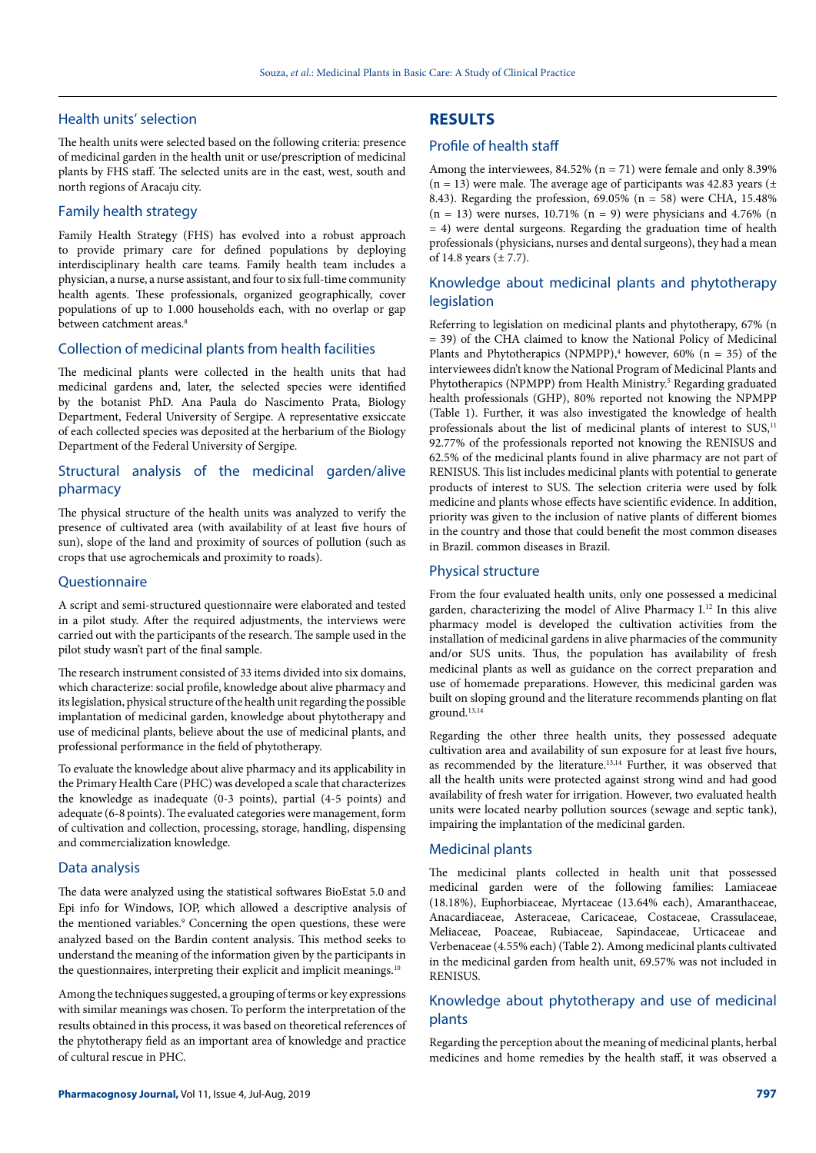### Health units' selection

The health units were selected based on the following criteria: presence of medicinal garden in the health unit or use/prescription of medicinal plants by FHS staff. The selected units are in the east, west, south and north regions of Aracaju city.

### Family health strategy

Family Health Strategy (FHS) has evolved into a robust approach to provide primary care for defined populations by deploying interdisciplinary health care teams. Family health team includes a physician, a nurse, a nurse assistant, and four to six full-time community health agents. These professionals, organized geographically, cover populations of up to 1.000 households each, with no overlap or gap between catchment areas.<sup>8</sup>

### Collection of medicinal plants from health facilities

The medicinal plants were collected in the health units that had medicinal gardens and, later, the selected species were identified by the botanist PhD. Ana Paula do Nascimento Prata, Biology Department, Federal University of Sergipe. A representative exsiccate of each collected species was deposited at the herbarium of the Biology Department of the Federal University of Sergipe.

### Structural analysis of the medicinal garden/alive pharmacy

The physical structure of the health units was analyzed to verify the presence of cultivated area (with availability of at least five hours of sun), slope of the land and proximity of sources of pollution (such as crops that use agrochemicals and proximity to roads).

#### **Questionnaire**

A script and semi-structured questionnaire were elaborated and tested in a pilot study. After the required adjustments, the interviews were carried out with the participants of the research. The sample used in the pilot study wasn't part of the final sample.

The research instrument consisted of 33 items divided into six domains, which characterize: social profile, knowledge about alive pharmacy and its legislation, physical structure of the health unit regarding the possible implantation of medicinal garden, knowledge about phytotherapy and use of medicinal plants, believe about the use of medicinal plants, and professional performance in the field of phytotherapy.

To evaluate the knowledge about alive pharmacy and its applicability in the Primary Health Care (PHC) was developed a scale that characterizes the knowledge as inadequate (0-3 points), partial (4-5 points) and adequate (6-8 points). The evaluated categories were management, form of cultivation and collection, processing, storage, handling, dispensing and commercialization knowledge.

#### Data analysis

The data were analyzed using the statistical softwares BioEstat 5.0 and Epi info for Windows, IOP, which allowed a descriptive analysis of the mentioned variables.<sup>9</sup> Concerning the open questions, these were analyzed based on the Bardin content analysis. This method seeks to understand the meaning of the information given by the participants in the questionnaires, interpreting their explicit and implicit meanings.<sup>10</sup>

Among the techniques suggested, a grouping of terms or key expressions with similar meanings was chosen. To perform the interpretation of the results obtained in this process, it was based on theoretical references of the phytotherapy field as an important area of knowledge and practice of cultural rescue in PHC.

# **RESULTS**

### Profile of health staff

Among the interviewees,  $84.52\%$  (n = 71) were female and only  $8.39\%$  $(n = 13)$  were male. The average age of participants was 42.83 years  $(\pm)$ 8.43). Regarding the profession, 69.05% (n = 58) were CHA, 15.48%  $(n = 13)$  were nurses, 10.71%  $(n = 9)$  were physicians and 4.76%  $(n = 13)$ = 4) were dental surgeons. Regarding the graduation time of health professionals (physicians, nurses and dental surgeons), they had a mean of 14.8 years  $(\pm 7.7)$ .

### Knowledge about medicinal plants and phytotherapy legislation

Referring to legislation on medicinal plants and phytotherapy, 67% (n = 39) of the CHA claimed to know the National Policy of Medicinal Plants and Phytotherapics (NPMPP),<sup>4</sup> however, 60% ( $n = 35$ ) of the interviewees didn't know the National Program of Medicinal Plants and Phytotherapics (NPMPP) from Health Ministry.<sup>5</sup> Regarding graduated health professionals (GHP), 80% reported not knowing the NPMPP (Table 1). Further, it was also investigated the knowledge of health professionals about the list of medicinal plants of interest to  $SUS<sub>11</sub>$ <sup>11</sup> 92.77% of the professionals reported not knowing the RENISUS and 62.5% of the medicinal plants found in alive pharmacy are not part of RENISUS. This list includes medicinal plants with potential to generate products of interest to SUS. The selection criteria were used by folk medicine and plants whose effects have scientific evidence. In addition, priority was given to the inclusion of native plants of different biomes in the country and those that could benefit the most common diseases in Brazil. common diseases in Brazil.

### Physical structure

From the four evaluated health units, only one possessed a medicinal garden, characterizing the model of Alive Pharmacy I.12 In this alive pharmacy model is developed the cultivation activities from the installation of medicinal gardens in alive pharmacies of the community and/or SUS units. Thus, the population has availability of fresh medicinal plants as well as guidance on the correct preparation and use of homemade preparations. However, this medicinal garden was built on sloping ground and the literature recommends planting on flat ground.13,14

Regarding the other three health units, they possessed adequate cultivation area and availability of sun exposure for at least five hours, as recommended by the literature.<sup>13,14</sup> Further, it was observed that all the health units were protected against strong wind and had good availability of fresh water for irrigation. However, two evaluated health units were located nearby pollution sources (sewage and septic tank), impairing the implantation of the medicinal garden.

### Medicinal plants

The medicinal plants collected in health unit that possessed medicinal garden were of the following families: Lamiaceae (18.18%), Euphorbiaceae, Myrtaceae (13.64% each), Amaranthaceae, Anacardiaceae, Asteraceae, Caricaceae, Costaceae, Crassulaceae, Meliaceae, Poaceae, Rubiaceae, Sapindaceae, Urticaceae and Verbenaceae (4.55% each) (Table 2). Among medicinal plants cultivated in the medicinal garden from health unit, 69.57% was not included in **RENISUS** 

# Knowledge about phytotherapy and use of medicinal plants

Regarding the perception about the meaning of medicinal plants, herbal medicines and home remedies by the health staff, it was observed a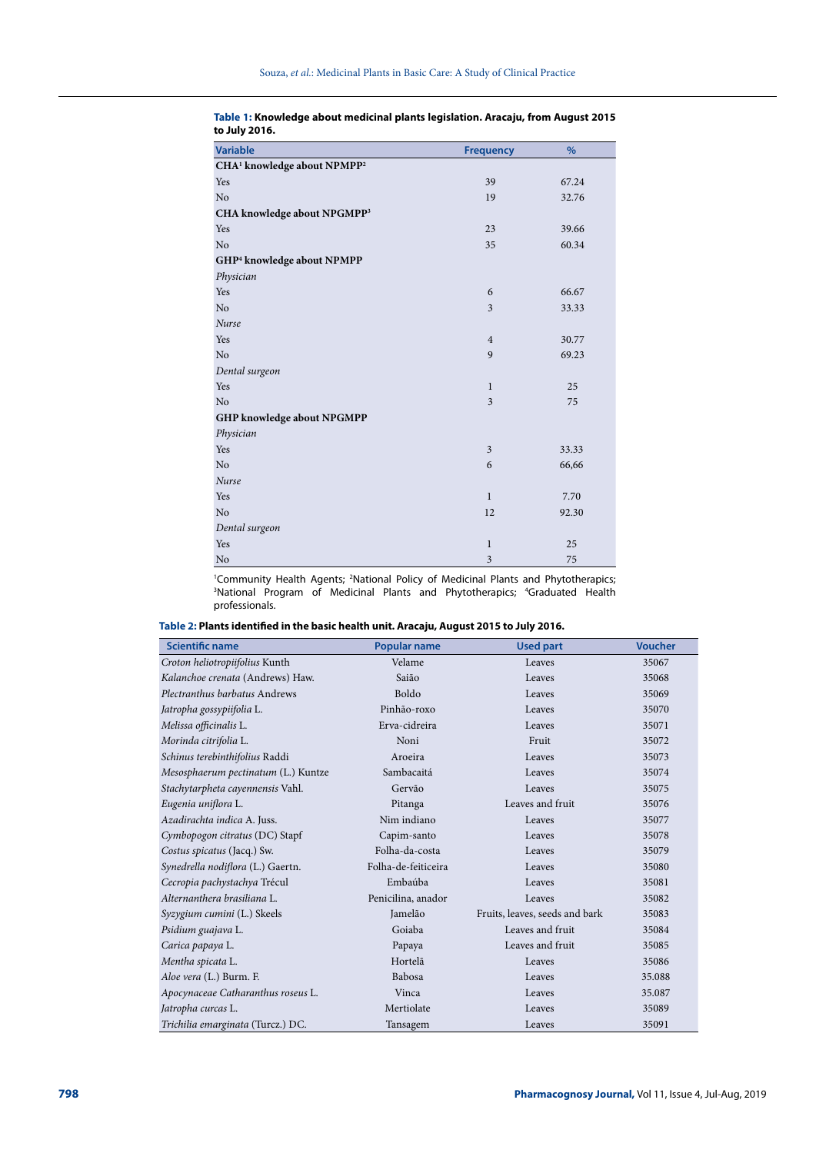| <b>Variable</b>                                     | <b>Frequency</b> | $\%$  |  |
|-----------------------------------------------------|------------------|-------|--|
| CHA <sup>1</sup> knowledge about NPMPP <sup>2</sup> |                  |       |  |
| Yes                                                 | 39               | 67.24 |  |
| No                                                  | 19               | 32.76 |  |
| CHA knowledge about NPGMPP <sup>3</sup>             |                  |       |  |
| Yes                                                 | 23               | 39.66 |  |
| No                                                  | 35               | 60.34 |  |
| GHP <sup>4</sup> knowledge about NPMPP              |                  |       |  |
| Physician                                           |                  |       |  |
| Yes                                                 | 6                | 66.67 |  |
| No                                                  | 3                | 33.33 |  |
| Nurse                                               |                  |       |  |
| Yes                                                 | $\overline{4}$   | 30.77 |  |
| No                                                  | 9                | 69.23 |  |
| Dental surgeon                                      |                  |       |  |
| Yes                                                 | $\mathbf{1}$     | 25    |  |
| No                                                  | 3                | 75    |  |
| GHP knowledge about NPGMPP                          |                  |       |  |
| Physician                                           |                  |       |  |
| Yes                                                 | $\mathfrak{Z}$   | 33.33 |  |
| No                                                  | 6                | 66,66 |  |
| Nurse                                               |                  |       |  |
| Yes                                                 | $\mathbf{1}$     | 7.70  |  |
| No                                                  | 12               | 92.30 |  |
| Dental surgeon                                      |                  |       |  |
| Yes                                                 | $\bf{l}$         | 25    |  |
| No                                                  | 3                | 75    |  |

### **Table 1: Knowledge about medicinal plants legislation. Aracaju, from August 2015 to July 2016.**

<sup>1</sup>Community Health Agents; <sup>2</sup>National Policy of Medicinal Plants and Phytotherapics;<br><sup>3</sup>National Program of Medicinal Plants and Phytotherapics: <sup>4</sup>Graduated Health National Program of Medicinal Plants and Phytotherapics; 4 Graduated Health professionals.

| Table 2: Plants identified in the basic health unit. Aracaju, August 2015 to July 2016. |  |
|-----------------------------------------------------------------------------------------|--|
|-----------------------------------------------------------------------------------------|--|

| <b>Scientific name</b>              | <b>Popular name</b> | <b>Used part</b>               | <b>Voucher</b> |
|-------------------------------------|---------------------|--------------------------------|----------------|
| Croton heliotropiifolius Kunth      | Velame              | Leaves                         | 35067          |
| Kalanchoe crenata (Andrews) Haw.    | Saião               | Leaves                         | 35068          |
| Plectranthus barbatus Andrews       | Boldo               | Leaves                         | 35069          |
| Jatropha gossypiifolia L.           | Pinhão-roxo         | Leaves                         | 35070          |
| Melissa officinalis L.              | Erva-cidreira       | Leaves                         | 35071          |
| Morinda citrifolia L.               | Noni                | Fruit                          | 35072          |
| Schinus terebinthifolius Raddi      | Aroeira             | Leaves                         | 35073          |
| Mesosphaerum pectinatum (L.) Kuntze | Sambacaitá          | Leaves                         | 35074          |
| Stachytarpheta cayennensis Vahl.    | Gervão              | Leaves                         | 35075          |
| Eugenia uniflora L.                 | Pitanga             | Leaves and fruit               | 35076          |
| Azadirachta indica A. Juss.         | Nim indiano         | Leaves                         | 35077          |
| Cymbopogon citratus (DC) Stapf      | Capim-santo         | Leaves                         | 35078          |
| Costus spicatus (Jacq.) Sw.         | Folha-da-costa      | Leaves                         | 35079          |
| Synedrella nodiflora (L.) Gaertn.   | Folha-de-feiticeira | Leaves                         | 35080          |
| Cecropia pachystachya Trécul        | Embaúba             | Leaves                         | 35081          |
| Alternanthera brasiliana L.         | Penicilina, anador  | Leaves                         | 35082          |
| Syzygium cumini (L.) Skeels         | Jamelão             | Fruits, leaves, seeds and bark | 35083          |
| Psidium guajava L.                  | Goiaba              | Leaves and fruit               | 35084          |
| Carica papaya L.                    | Papaya              | Leaves and fruit               | 35085          |
| Mentha spicata L.                   | Hortelã             | Leaves                         | 35086          |
| Aloe vera (L.) Burm. F.             | Babosa              | Leaves                         | 35.088         |
| Apocynaceae Catharanthus roseus L.  | Vinca               | Leaves                         | 35.087         |
| Jatropha curcas L.                  | Mertiolate          | Leaves                         | 35089          |
| Trichilia emarginata (Turcz.) DC.   | Tansagem            | Leaves                         | 35091          |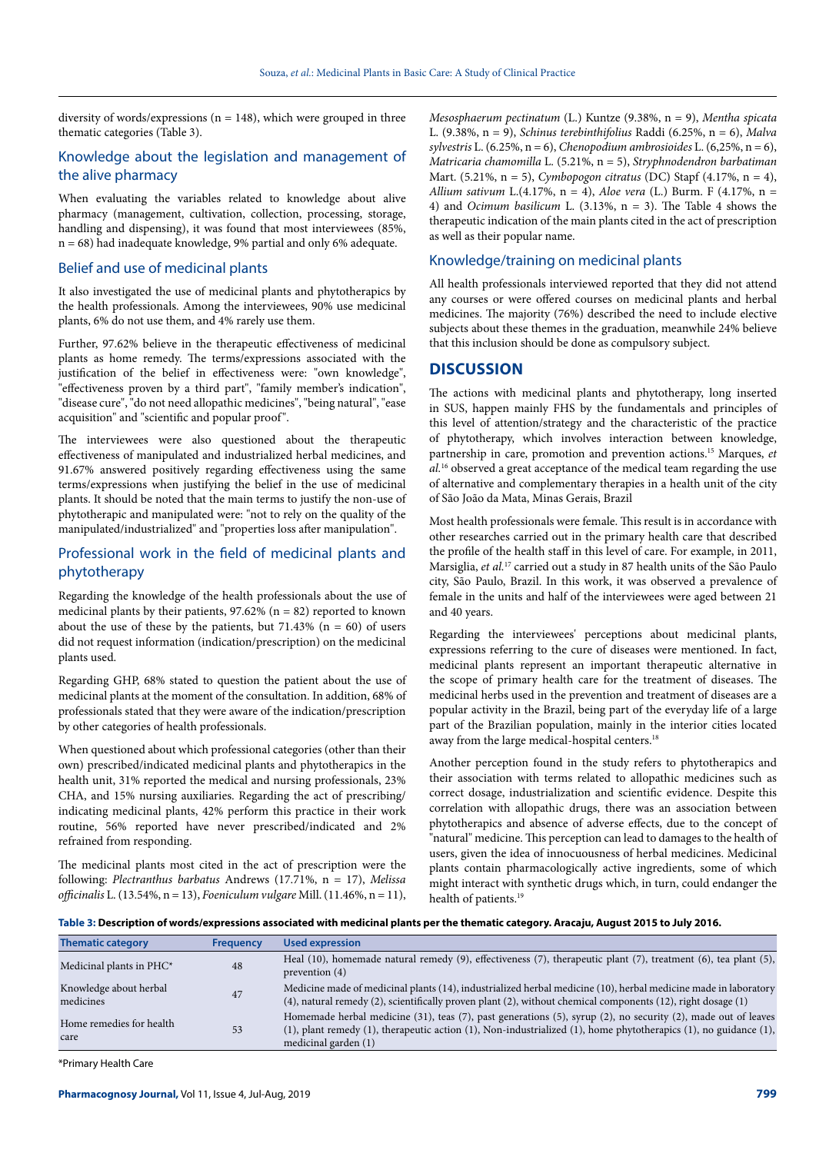diversity of words/expressions ( $n = 148$ ), which were grouped in three thematic categories (Table 3).

# Knowledge about the legislation and management of the alive pharmacy

When evaluating the variables related to knowledge about alive pharmacy (management, cultivation, collection, processing, storage, handling and dispensing), it was found that most interviewees (85%, n = 68) had inadequate knowledge, 9% partial and only 6% adequate.

### Belief and use of medicinal plants

It also investigated the use of medicinal plants and phytotherapics by the health professionals. Among the interviewees, 90% use medicinal plants, 6% do not use them, and 4% rarely use them.

Further, 97.62% believe in the therapeutic effectiveness of medicinal plants as home remedy. The terms/expressions associated with the justification of the belief in effectiveness were: "own knowledge", "effectiveness proven by a third part", "family member's indication", "disease cure", "do not need allopathic medicines", "being natural", "ease acquisition" and "scientific and popular proof ".

The interviewees were also questioned about the therapeutic effectiveness of manipulated and industrialized herbal medicines, and 91.67% answered positively regarding effectiveness using the same terms/expressions when justifying the belief in the use of medicinal plants. It should be noted that the main terms to justify the non-use of phytotherapic and manipulated were: "not to rely on the quality of the manipulated/industrialized" and "properties loss after manipulation".

### Professional work in the field of medicinal plants and phytotherapy

Regarding the knowledge of the health professionals about the use of medicinal plants by their patients,  $97.62\%$  (n = 82) reported to known about the use of these by the patients, but  $71.43\%$  (n = 60) of users did not request information (indication/prescription) on the medicinal plants used.

Regarding GHP, 68% stated to question the patient about the use of medicinal plants at the moment of the consultation. In addition, 68% of professionals stated that they were aware of the indication/prescription by other categories of health professionals.

When questioned about which professional categories (other than their own) prescribed/indicated medicinal plants and phytotherapics in the health unit, 31% reported the medical and nursing professionals, 23% CHA, and 15% nursing auxiliaries. Regarding the act of prescribing/ indicating medicinal plants, 42% perform this practice in their work routine, 56% reported have never prescribed/indicated and 2% refrained from responding.

The medicinal plants most cited in the act of prescription were the following: *Plectranthus barbatus* Andrews (17.71%, n = 17), *Melissa officinalis* L. (13.54%, n = 13), *Foeniculum vulgare* Mill. (11.46%, n = 11),

*Mesosphaerum pectinatum* (L.) Kuntze (9.38%, n = 9), *Mentha spicata*  L. (9.38%, n = 9), *Schinus terebinthifolius* Raddi (6.25%, n = 6), *Malva sylvestris* L. (6.25%, n = 6), *Chenopodium ambrosioides* L. (6,25%, n = 6), *Matricaria chamomilla* L. (5.21%, n = 5), *Stryphnodendron barbatiman* Mart. (5.21%, n = 5), *Cymbopogon citratus* (DC) Stapf (4.17%, n = 4), *Allium sativum* L.(4.17%, n = 4), *Aloe vera* (L.) Burm. F (4.17%, n = 4) and *Ocimum basilicum* L. (3.13%, n = 3). The Table 4 shows the therapeutic indication of the main plants cited in the act of prescription as well as their popular name.

### Knowledge/training on medicinal plants

All health professionals interviewed reported that they did not attend any courses or were offered courses on medicinal plants and herbal medicines. The majority (76%) described the need to include elective subjects about these themes in the graduation, meanwhile 24% believe that this inclusion should be done as compulsory subject.

### **DISCUSSION**

The actions with medicinal plants and phytotherapy, long inserted in SUS, happen mainly FHS by the fundamentals and principles of this level of attention/strategy and the characteristic of the practice of phytotherapy, which involves interaction between knowledge, partnership in care, promotion and prevention actions.15 Marques, *et al.*16 observed a great acceptance of the medical team regarding the use of alternative and complementary therapies in a health unit of the city of São João da Mata, Minas Gerais, Brazil

Most health professionals were female. This result is in accordance with other researches carried out in the primary health care that described the profile of the health staff in this level of care. For example, in 2011, Marsiglia, *et al.*17 carried out a study in 87 health units of the São Paulo city, São Paulo, Brazil. In this work, it was observed a prevalence of female in the units and half of the interviewees were aged between 21 and 40 years.

Regarding the interviewees' perceptions about medicinal plants, expressions referring to the cure of diseases were mentioned. In fact, medicinal plants represent an important therapeutic alternative in the scope of primary health care for the treatment of diseases. The medicinal herbs used in the prevention and treatment of diseases are a popular activity in the Brazil, being part of the everyday life of a large part of the Brazilian population, mainly in the interior cities located away from the large medical-hospital centers.18

Another perception found in the study refers to phytotherapics and their association with terms related to allopathic medicines such as correct dosage, industrialization and scientific evidence. Despite this correlation with allopathic drugs, there was an association between phytotherapics and absence of adverse effects, due to the concept of "natural" medicine. This perception can lead to damages to the health of users, given the idea of innocuousness of herbal medicines. Medicinal plants contain pharmacologically active ingredients, some of which might interact with synthetic drugs which, in turn, could endanger the health of patients.<sup>19</sup>

**Table 3: Description of words/expressions associated with medicinal plants per the thematic category. Aracaju, August 2015 to July 2016.**

| <b>Thematic category</b>            | <b>Frequency</b> | <b>Used expression</b>                                                                                                                                                                                                                                                        |
|-------------------------------------|------------------|-------------------------------------------------------------------------------------------------------------------------------------------------------------------------------------------------------------------------------------------------------------------------------|
| Medicinal plants in $PHC^*$         | 48               | Heal (10), homemade natural remedy (9), effectiveness (7), therapeutic plant (7), treatment (6), tea plant (5),<br>prevention $(4)$                                                                                                                                           |
| Knowledge about herbal<br>medicines | 47               | Medicine made of medicinal plants (14), industrialized herbal medicine (10), herbal medicine made in laboratory<br>$(4)$ , natural remedy $(2)$ , scientifically proven plant $(2)$ , without chemical components $(12)$ , right dosage $(1)$                                 |
| Home remedies for health<br>care    | 53               | Homemade herbal medicine (31), teas (7), past generations (5), syrup (2), no security (2), made out of leaves<br>$(1)$ , plant remedy $(1)$ , therapeutic action $(1)$ , Non-industrialized $(1)$ , home phytotherapics $(1)$ , no guidance $(1)$ ,<br>medicinal garden $(1)$ |

\*Primary Health Care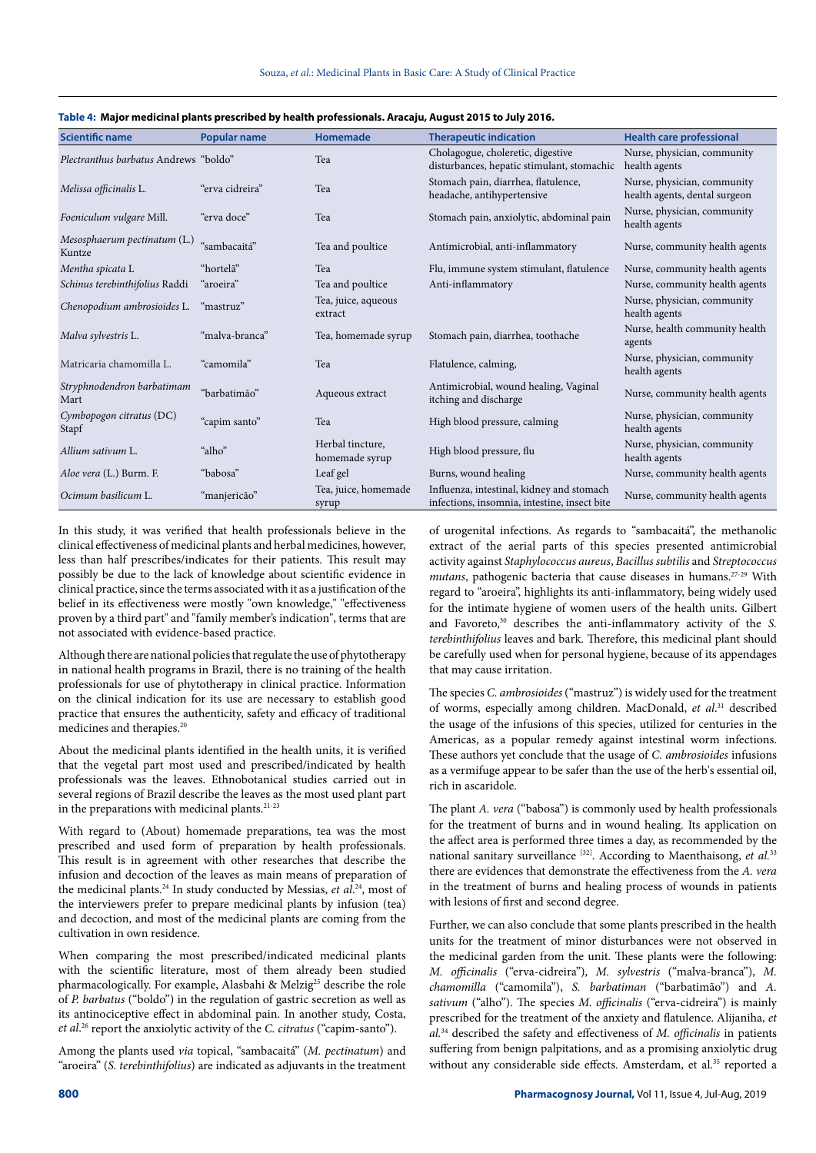| <b>Scientific name</b>                 | <b>Popular name</b> | <b>Homemade</b>                    | <b>Therapeutic indication</b>                                                             | <b>Health care professional</b>                              |
|----------------------------------------|---------------------|------------------------------------|-------------------------------------------------------------------------------------------|--------------------------------------------------------------|
| Plectranthus barbatus Andrews "boldo"  |                     | Tea                                | Cholagogue, choleretic, digestive<br>disturbances, hepatic stimulant, stomachic           | Nurse, physician, community<br>health agents                 |
| Melissa officinalis L.                 | "erva cidreira"     | Tea                                | Stomach pain, diarrhea, flatulence,<br>headache, antihypertensive                         | Nurse, physician, community<br>health agents, dental surgeon |
| Foeniculum vulgare Mill.               | "erva doce"         | Tea                                | Stomach pain, anxiolytic, abdominal pain                                                  | Nurse, physician, community<br>health agents                 |
| Mesosphaerum pectinatum (L.)<br>Kuntze | "sambacaitá"        | Tea and poultice                   | Antimicrobial, anti-inflammatory                                                          | Nurse, community health agents                               |
| Mentha spicata L                       | "hortelã"           | Tea                                | Flu, immune system stimulant, flatulence                                                  | Nurse, community health agents                               |
| Schinus terebinthifolius Raddi         | "aroeira"           | Tea and poultice                   | Anti-inflammatory                                                                         | Nurse, community health agents                               |
| Chenopodium ambrosioides L.            | "mastruz"           | Tea, juice, aqueous<br>extract     |                                                                                           | Nurse, physician, community<br>health agents                 |
| Malva sylvestris L.                    | "malva-branca"      | Tea, homemade syrup                | Stomach pain, diarrhea, toothache                                                         | Nurse, health community health<br>agents                     |
| Matricaria chamomilla L.               | "camomila"          | Tea                                | Flatulence, calming,                                                                      | Nurse, physician, community<br>health agents                 |
| Stryphnodendron barbatimam<br>Mart     | "barbatimão"        | Aqueous extract                    | Antimicrobial, wound healing, Vaginal<br>itching and discharge                            | Nurse, community health agents                               |
| Cymbopogon citratus (DC)<br>Stapf      | "capim santo"       | Tea                                | High blood pressure, calming                                                              | Nurse, physician, community<br>health agents                 |
| Allium sativum L.                      | "alho"              | Herbal tincture.<br>homemade syrup | High blood pressure, flu                                                                  | Nurse, physician, community<br>health agents                 |
| Aloe vera (L.) Burm. F.                | "babosa"            | Leaf gel                           | Burns, wound healing                                                                      | Nurse, community health agents                               |
| Ocimum basilicum L.                    | "manjericão"        | Tea, juice, homemade<br>syrup      | Influenza, intestinal, kidney and stomach<br>infections, insomnia, intestine, insect bite | Nurse, community health agents                               |

#### **Table 4: Major medicinal plants prescribed by health professionals. Aracaju, August 2015 to July 2016.**

In this study, it was verified that health professionals believe in the clinical effectiveness of medicinal plants and herbal medicines, however, less than half prescribes/indicates for their patients. This result may possibly be due to the lack of knowledge about scientific evidence in clinical practice, since the terms associated with it as a justification of the belief in its effectiveness were mostly "own knowledge," "effectiveness proven by a third part" and "family member's indication", terms that are not associated with evidence-based practice.

Although there are national policies that regulate the use of phytotherapy in national health programs in Brazil, there is no training of the health professionals for use of phytotherapy in clinical practice. Information on the clinical indication for its use are necessary to establish good practice that ensures the authenticity, safety and efficacy of traditional medicines and therapies.<sup>20</sup>

About the medicinal plants identified in the health units, it is verified that the vegetal part most used and prescribed/indicated by health professionals was the leaves. Ethnobotanical studies carried out in several regions of Brazil describe the leaves as the most used plant part in the preparations with medicinal plants.21-23

With regard to (About) homemade preparations, tea was the most prescribed and used form of preparation by health professionals. This result is in agreement with other researches that describe the infusion and decoction of the leaves as main means of preparation of the medicinal plants.<sup>24</sup> In study conducted by Messias, *et al.*<sup>24</sup>, most of the interviewers prefer to prepare medicinal plants by infusion (tea) and decoction, and most of the medicinal plants are coming from the cultivation in own residence.

When comparing the most prescribed/indicated medicinal plants with the scientific literature, most of them already been studied pharmacologically. For example, Alasbahi & Melzig<sup>25</sup> describe the role of *P. barbatus* ("boldo") in the regulation of gastric secretion as well as its antinociceptive effect in abdominal pain. In another study, Costa, *et al*. 26 report the anxiolytic activity of the *C. citratus* ("capim-santo").

Among the plants used *via* topical, "sambacaitá" (*M. pectinatum*) and "aroeira" (*S. terebinthifolius*) are indicated as adjuvants in the treatment of urogenital infections. As regards to "sambacaitá", the methanolic extract of the aerial parts of this species presented antimicrobial activity against *Staphylococcus aureus*, *Bacillus subtilis* and *Streptococcus mutans*, pathogenic bacteria that cause diseases in humans.27-29 With regard to "aroeira", highlights its anti-inflammatory, being widely used for the intimate hygiene of women users of the health units. Gilbert and Favoreto,<sup>30</sup> describes the anti-inflammatory activity of the *S*. *terebinthifolius* leaves and bark. Therefore, this medicinal plant should be carefully used when for personal hygiene, because of its appendages that may cause irritation.

The species *C. ambrosioides* ("mastruz") is widely used for the treatment of worms, especially among children. MacDonald, *et al*. 31 described the usage of the infusions of this species, utilized for centuries in the Americas, as a popular remedy against intestinal worm infections. These authors yet conclude that the usage of *C. ambrosioides* infusions as a vermifuge appear to be safer than the use of the herb's essential oil, rich in ascaridole.

The plant *A. vera* ("babosa") is commonly used by health professionals for the treatment of burns and in wound healing. Its application on the affect area is performed three times a day, as recommended by the national sanitary surveillance [32]. According to Maenthaisong, *et al.*<sup>33</sup> there are evidences that demonstrate the effectiveness from the *A. vera* in the treatment of burns and healing process of wounds in patients with lesions of first and second degree.

Further, we can also conclude that some plants prescribed in the health units for the treatment of minor disturbances were not observed in the medicinal garden from the unit. These plants were the following: *M. officinalis* ("erva-cidreira"), *M. sylvestris* ("malva-branca"), *M. chamomilla* ("camomila"), *S. barbatiman* ("barbatimão") and *A. sativum* ("alho"). The species *M. officinalis* ("erva-cidreira") is mainly prescribed for the treatment of the anxiety and flatulence. Alijaniha, *et al.*34 described the safety and effectiveness of *M. officinalis* in patients suffering from benign palpitations, and as a promising anxiolytic drug without any considerable side effects. Amsterdam, et al.<sup>35</sup> reported a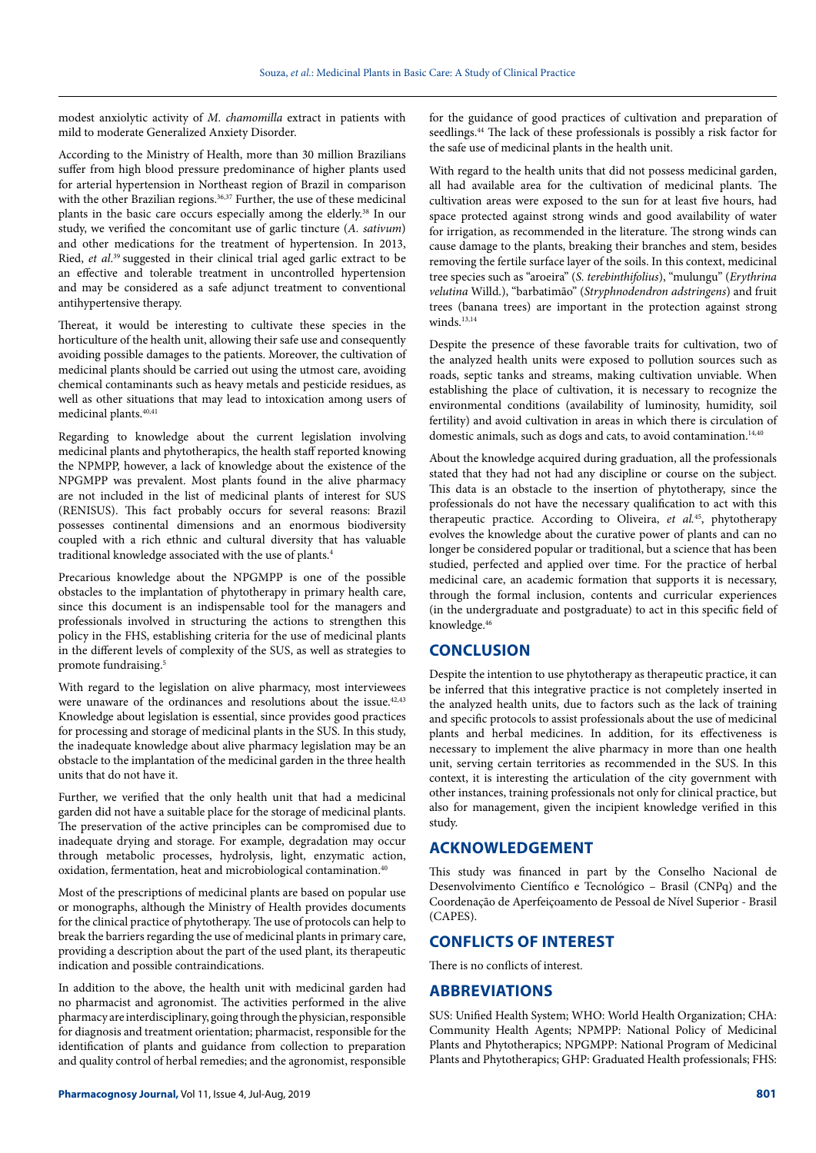modest anxiolytic activity of *M. chamomilla* extract in patients with mild to moderate Generalized Anxiety Disorder.

According to the Ministry of Health, more than 30 million Brazilians suffer from high blood pressure predominance of higher plants used for arterial hypertension in Northeast region of Brazil in comparison with the other Brazilian regions.<sup>36,37</sup> Further, the use of these medicinal plants in the basic care occurs especially among the elderly.<sup>38</sup> In our study, we verified the concomitant use of garlic tincture (*A. sativum*) and other medications for the treatment of hypertension. In 2013, Ried, *et al*. 39 suggested in their clinical trial aged garlic extract to be an effective and tolerable treatment in uncontrolled hypertension and may be considered as a safe adjunct treatment to conventional antihypertensive therapy.

Thereat, it would be interesting to cultivate these species in the horticulture of the health unit, allowing their safe use and consequently avoiding possible damages to the patients. Moreover, the cultivation of medicinal plants should be carried out using the utmost care, avoiding chemical contaminants such as heavy metals and pesticide residues, as well as other situations that may lead to intoxication among users of medicinal plants.<sup>40,41</sup>

Regarding to knowledge about the current legislation involving medicinal plants and phytotherapics, the health staff reported knowing the NPMPP, however, a lack of knowledge about the existence of the NPGMPP was prevalent. Most plants found in the alive pharmacy are not included in the list of medicinal plants of interest for SUS (RENISUS). This fact probably occurs for several reasons: Brazil possesses continental dimensions and an enormous biodiversity coupled with a rich ethnic and cultural diversity that has valuable traditional knowledge associated with the use of plants.4

Precarious knowledge about the NPGMPP is one of the possible obstacles to the implantation of phytotherapy in primary health care, since this document is an indispensable tool for the managers and professionals involved in structuring the actions to strengthen this policy in the FHS, establishing criteria for the use of medicinal plants in the different levels of complexity of the SUS, as well as strategies to promote fundraising.<sup>5</sup>

With regard to the legislation on alive pharmacy, most interviewees were unaware of the ordinances and resolutions about the issue.<sup>42,43</sup> Knowledge about legislation is essential, since provides good practices for processing and storage of medicinal plants in the SUS. In this study, the inadequate knowledge about alive pharmacy legislation may be an obstacle to the implantation of the medicinal garden in the three health units that do not have it.

Further, we verified that the only health unit that had a medicinal garden did not have a suitable place for the storage of medicinal plants. The preservation of the active principles can be compromised due to inadequate drying and storage. For example, degradation may occur through metabolic processes, hydrolysis, light, enzymatic action, oxidation, fermentation, heat and microbiological contamination.40

Most of the prescriptions of medicinal plants are based on popular use or monographs, although the Ministry of Health provides documents for the clinical practice of phytotherapy. The use of protocols can help to break the barriers regarding the use of medicinal plants in primary care, providing a description about the part of the used plant, its therapeutic indication and possible contraindications.

In addition to the above, the health unit with medicinal garden had no pharmacist and agronomist. The activities performed in the alive pharmacy are interdisciplinary, going through the physician, responsible for diagnosis and treatment orientation; pharmacist, responsible for the identification of plants and guidance from collection to preparation and quality control of herbal remedies; and the agronomist, responsible

for the guidance of good practices of cultivation and preparation of seedlings.<sup>44</sup> The lack of these professionals is possibly a risk factor for the safe use of medicinal plants in the health unit.

With regard to the health units that did not possess medicinal garden, all had available area for the cultivation of medicinal plants. The cultivation areas were exposed to the sun for at least five hours, had space protected against strong winds and good availability of water for irrigation, as recommended in the literature. The strong winds can cause damage to the plants, breaking their branches and stem, besides removing the fertile surface layer of the soils. In this context, medicinal tree species such as "aroeira" (*S. terebinthifolius*), "mulungu" (*Erythrina velutina* Willd.), "barbatimão" (*Stryphnodendron adstringens*) and fruit trees (banana trees) are important in the protection against strong winds.<sup>13,14</sup>

Despite the presence of these favorable traits for cultivation, two of the analyzed health units were exposed to pollution sources such as roads, septic tanks and streams, making cultivation unviable. When establishing the place of cultivation, it is necessary to recognize the environmental conditions (availability of luminosity, humidity, soil fertility) and avoid cultivation in areas in which there is circulation of domestic animals, such as dogs and cats, to avoid contamination.<sup>14,40</sup>

About the knowledge acquired during graduation, all the professionals stated that they had not had any discipline or course on the subject. This data is an obstacle to the insertion of phytotherapy, since the professionals do not have the necessary qualification to act with this therapeutic practice. According to Oliveira, *et al.*45, phytotherapy evolves the knowledge about the curative power of plants and can no longer be considered popular or traditional, but a science that has been studied, perfected and applied over time. For the practice of herbal medicinal care, an academic formation that supports it is necessary, through the formal inclusion, contents and curricular experiences (in the undergraduate and postgraduate) to act in this specific field of knowledge.46

### **CONCLUSION**

Despite the intention to use phytotherapy as therapeutic practice, it can be inferred that this integrative practice is not completely inserted in the analyzed health units, due to factors such as the lack of training and specific protocols to assist professionals about the use of medicinal plants and herbal medicines. In addition, for its effectiveness is necessary to implement the alive pharmacy in more than one health unit, serving certain territories as recommended in the SUS. In this context, it is interesting the articulation of the city government with other instances, training professionals not only for clinical practice, but also for management, given the incipient knowledge verified in this study.

### **ACKNOWLEDGEMENT**

This study was financed in part by the Conselho Nacional de Desenvolvimento Científico e Tecnológico – Brasil (CNPq) and the Coordenação de Aperfeiçoamento de Pessoal de Nível Superior - Brasil (CAPES).

### **CONFLICTS OF INTEREST**

There is no conflicts of interest.

### **ABBREVIATIONS**

SUS: Unified Health System; WHO: World Health Organization; CHA: Community Health Agents; NPMPP: National Policy of Medicinal Plants and Phytotherapics; NPGMPP: National Program of Medicinal Plants and Phytotherapics; GHP: Graduated Health professionals; FHS: